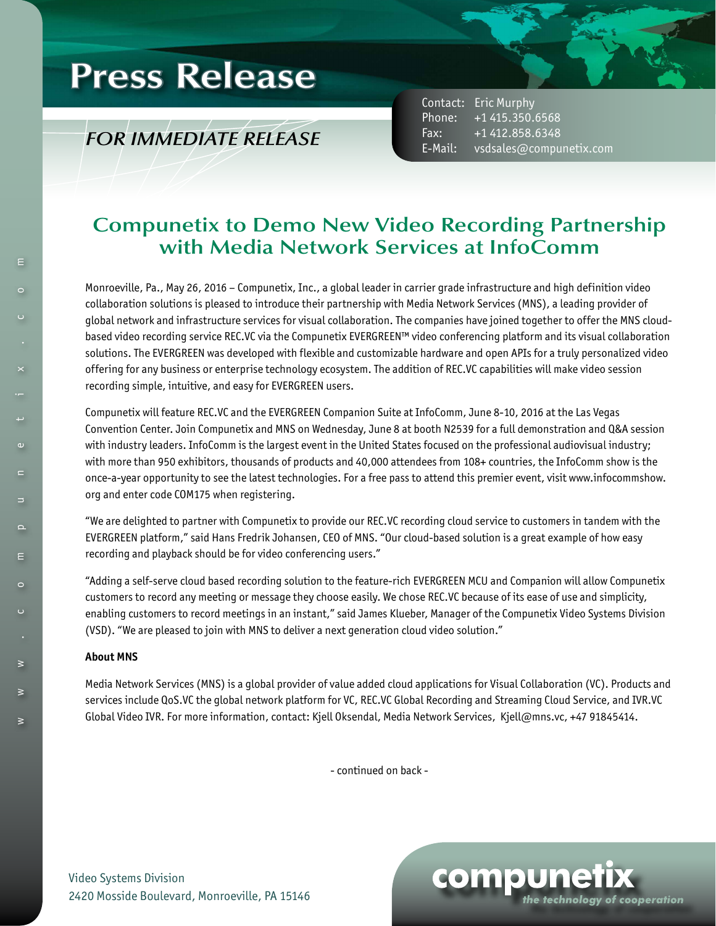# **Press Release**

### *FOR IMMEDIATE RELEASE*

Contact: Eric Murphy Phone: +1 415.350.6568 Fax: +1 412.858.6348 E-Mail: vsdsales@compunetix.com

### **Compunetix to Demo New Video Recording Partnership with Media Network Services at InfoComm**

Monroeville, Pa., May 26, 2016 – Compunetix, Inc., a global leader in carrier grade infrastructure and high definition video collaboration solutions is pleased to introduce their partnership with Media Network Services (MNS), a leading provider of global network and infrastructure services for visual collaboration. The companies have joined together to offer the MNS cloudbased video recording service REC.VC via the Compunetix EVERGREEN™ video conferencing platform and its visual collaboration solutions. The EVERGREEN was developed with flexible and customizable hardware and open APIs for a truly personalized video offering for any business or enterprise technology ecosystem. The addition of REC.VC capabilities will make video session recording simple, intuitive, and easy for EVERGREEN users.

Compunetix will feature REC.VC and the EVERGREEN Companion Suite at InfoComm, June 8-10, 2016 at the Las Vegas Convention Center. Join Compunetix and MNS on Wednesday, June 8 at booth N2539 for a full demonstration and Q&A session with industry leaders. InfoComm is the largest event in the United States focused on the professional audiovisual industry; with more than 950 exhibitors, thousands of products and 40,000 attendees from 108+ countries, the InfoComm show is the once-a-year opportunity to see the latest technologies. For a free pass to attend this premier event, visit www.infocommshow. org and enter code COM175 when registering.

"We are delighted to partner with Compunetix to provide our REC.VC recording cloud service to customers in tandem with the EVERGREEN platform," said Hans Fredrik Johansen, CEO of MNS. "Our cloud-based solution is a great example of how easy recording and playback should be for video conferencing users."

"Adding a self-serve cloud based recording solution to the feature-rich EVERGREEN MCU and Companion will allow Compunetix customers to record any meeting or message they choose easily. We chose REC.VC because of its ease of use and simplicity, enabling customers to record meetings in an instant," said James Klueber, Manager of the Compunetix Video Systems Division (VSD). "We are pleased to join with MNS to deliver a next generation cloud video solution."

#### **About MNS**

Media Network Services (MNS) is a global provider of value added cloud applications for Visual Collaboration (VC). Products and services include QoS.VC the global network platform for VC, REC.VC Global Recording and Streaming Cloud Service, and IVR.VC Global Video IVR. For more information, contact: Kjell Oksendal, Media Network Services, Kjell@mns.vc, +47 91845414.

- continued on back -

Video Systems Division 2420 Mosside Boulevard, Monroeville, PA 15146